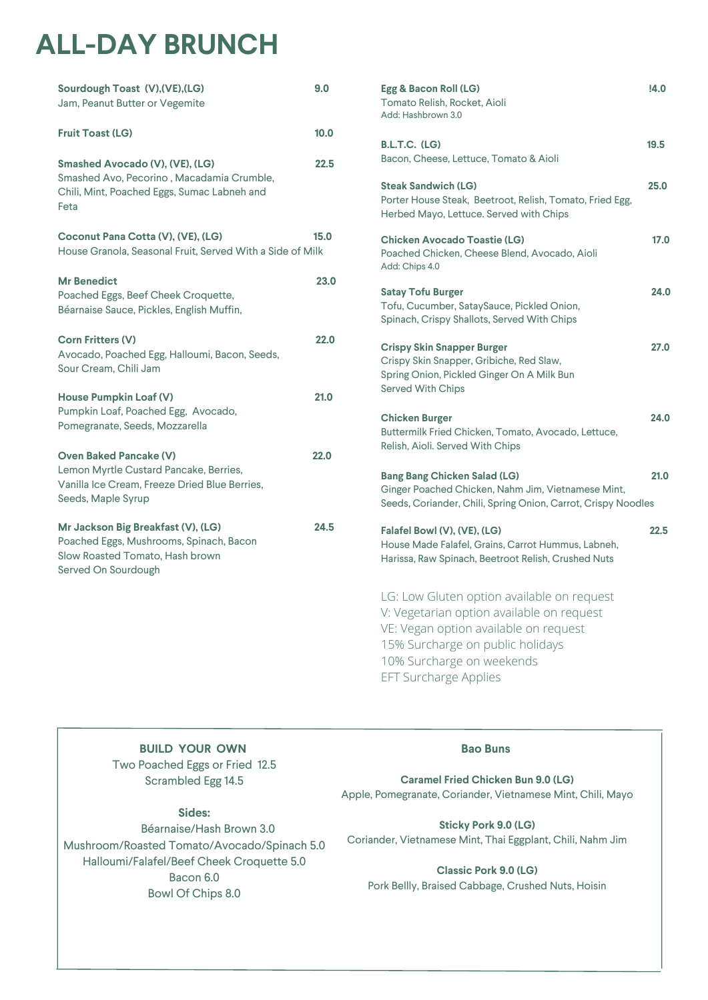# **ALL-DAY BRUNCH**

| Sourdough Toast (V), (VE), (LG)<br>Jam, Peanut Butter or Vegemite                                                                              | 9.0  |
|------------------------------------------------------------------------------------------------------------------------------------------------|------|
| <b>Fruit Toast (LG)</b>                                                                                                                        | 10.0 |
| Smashed Avocado (V), (VE), (LG)<br>Smashed Avo, Pecorino, Macadamia Crumble,<br>Chili, Mint, Poached Eggs, Sumac Labneh and<br>Feta            | 22.5 |
| Coconut Pana Cotta (V), (VE), (LG)<br>House Granola, Seasonal Fruit, Served With a Side of Milk                                                | 15.0 |
| <b>Mr Benedict</b><br>Poached Eggs, Beef Cheek Croquette,<br>Béarnaise Sauce, Pickles, English Muffin,                                         | 23.0 |
| <b>Corn Fritters (V)</b><br>Avocado, Poached Egg, Halloumi, Bacon, Seeds,<br>Sour Cream, Chili Jam                                             | 22.0 |
| <b>House Pumpkin Loaf (V)</b><br>Pumpkin Loaf, Poached Egg, Avocado,<br>Pomegranate, Seeds, Mozzarella                                         | 21.0 |
| <b>Oven Baked Pancake (V)</b><br>Lemon Myrtle Custard Pancake, Berries,<br>Vanilla Ice Cream, Freeze Dried Blue Berries,<br>Seeds, Maple Syrup | 22.0 |
| Mr Jackson Big Breakfast (V), (LG)<br>Poached Eggs, Mushrooms, Spinach, Bacon<br>Slow Roasted Tomato, Hash brown<br>Served On Sourdough        | 24.5 |

| Egg & Bacon Roll (LG)<br>Tomato Relish, Rocket, Aioli<br>Add: Hashbrown 3.0                                                                                                                       | 14.0 |
|---------------------------------------------------------------------------------------------------------------------------------------------------------------------------------------------------|------|
| B.L.T.C. (LG)<br>Bacon, Cheese, Lettuce, Tomato & Aioli                                                                                                                                           | 19.5 |
| <b>Steak Sandwich (LG)</b><br>Porter House Steak, Beetroot, Relish, Tomato, Fried Egg,<br>Herbed Mayo, Lettuce. Served with Chips                                                                 | 25.0 |
| <b>Chicken Avocado Toastie (LG)</b><br>Poached Chicken, Cheese Blend, Avocado, Aioli<br>Add: Chips 4.0                                                                                            | 17.0 |
| <b>Satay Tofu Burger</b><br>Tofu, Cucumber, SataySauce, Pickled Onion,<br>Spinach, Crispy Shallots, Served With Chips                                                                             | 24.0 |
| <b>Crispy Skin Snapper Burger</b><br>Crispy Skin Snapper, Gribiche, Red Slaw,<br>Spring Onion, Pickled Ginger On A Milk Bun<br><b>Served With Chips</b>                                           | 27.0 |
| <b>Chicken Burger</b><br>Buttermilk Fried Chicken, Tomato, Avocado, Lettuce,<br>Relish, Aioli. Served With Chips                                                                                  | 24.0 |
| <b>Bang Bang Chicken Salad (LG)</b><br>Ginger Poached Chicken, Nahm Jim, Vietnamese Mint,<br>Seeds, Coriander, Chili, Spring Onion, Carrot, Crispy Noodles                                        | 21.0 |
| Falafel Bowl (V), (VE), (LG)<br>House Made Falafel, Grains, Carrot Hummus, Labneh,<br>Harissa, Raw Spinach, Beetroot Relish, Crushed Nuts                                                         | 22.5 |
| LG: Low Gluten option available on request<br>V: Vegetarian option available on request<br>VE: Vegan option available on request<br>15% Surcharge on public holidays<br>10% Surcharge on weekends |      |

EFT Surcharge Applies

**BUILD YOUR OWN** Two Poached Eggs or Fried 12.5 Scrambled Egg 14.5

**Caramel Fried Chicken Bun 9.0 (LG)** Apple, Pomegranate, Coriander, Vietnamese Mint, Chili, Mayo

**Bao Buns**

**Sticky Pork 9.0 (LG)** Coriander, Vietnamese Mint, Thai Eggplant, Chili, Nahm Jim

**Classic Pork 9.0 (LG)** Pork Bellly, Braised Cabbage, Crushed Nuts, Hoisin

#### **Sides:**

Béarnaise/Hash Brown 3.0 Mushroom/Roasted Tomato/Avocado/Spinach 5.0 Halloumi/Falafel/Beef Cheek Croquette 5.0 Bacon 6.0 Bowl Of Chips 8.0